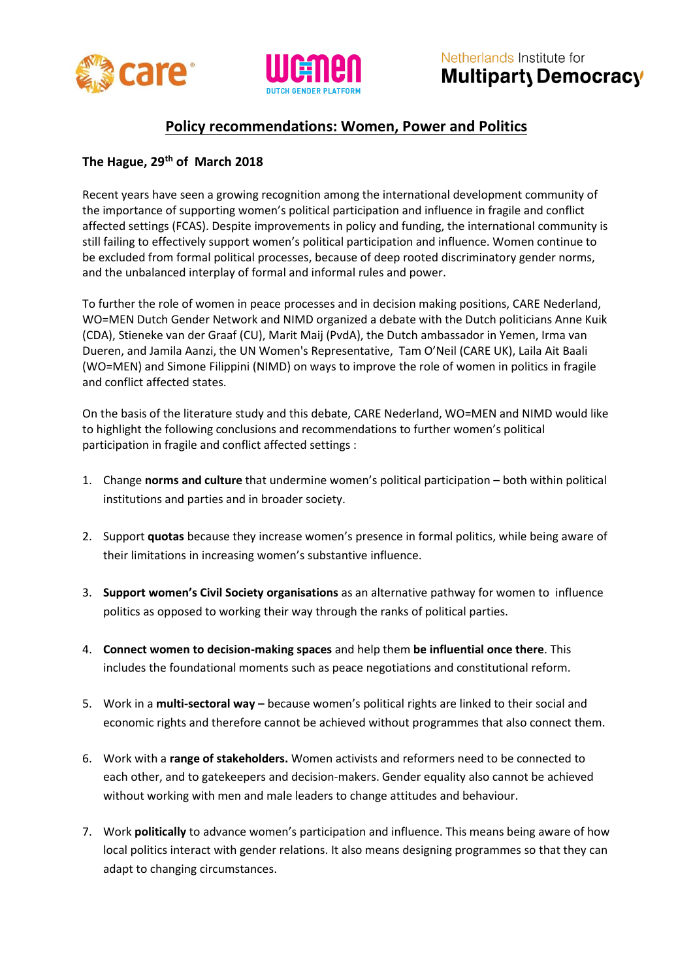



Netherlands Institute for Multiparty Democracy

## **Policy recommendations: Women, Power and Politics**

## **The Hague, 29th of March 2018**

Recent years have seen a growing recognition among the international development community of the importance of supporting women's political participation and influence in fragile and conflict affected settings (FCAS). Despite improvements in policy and funding, the international community is still failing to effectively support women's political participation and influence. Women continue to be excluded from formal political processes, because of deep rooted discriminatory gender norms, and the unbalanced interplay of formal and informal rules and power.

To further the role of women in peace processes and in decision making positions, CARE Nederland, WO=MEN Dutch Gender Network and NIMD organized a debate with the Dutch politicians Anne Kuik (CDA), Stieneke van der Graaf (CU), Marit Maij (PvdA), the Dutch ambassador in Yemen, Irma van Dueren, and Jamila Aanzi, the UN Women's Representative, Tam O'Neil (CARE UK), Laila Ait Baali (WO=MEN) and Simone Filippini (NIMD) on ways to improve the role of women in politics in fragile and conflict affected states.

On the basis of the literature study and this debate, CARE Nederland, WO=MEN and NIMD would like to highlight the following conclusions and recommendations to further women's political participation in fragile and conflict affected settings :

- 1. Change **norms and culture** that undermine women's political participation both within political institutions and parties and in broader society.
- 2. Support **quotas** because they increase women's presence in formal politics, while being aware of their limitations in increasing women's substantive influence.
- 3. **Support women's Civil Society organisations** as an alternative pathway for women to influence politics as opposed to working their way through the ranks of political parties.
- 4. **Connect women to decision-making spaces** and help them **be influential once there**. This includes the foundational moments such as peace negotiations and constitutional reform.
- 5. Work in a **multi-sectoral way –** because women's political rights are linked to their social and economic rights and therefore cannot be achieved without programmes that also connect them.
- 6. Work with a **range of stakeholders.** Women activists and reformers need to be connected to each other, and to gatekeepers and decision-makers. Gender equality also cannot be achieved without working with men and male leaders to change attitudes and behaviour.
- 7. Work **politically** to advance women's participation and influence. This means being aware of how local politics interact with gender relations. It also means designing programmes so that they can adapt to changing circumstances.